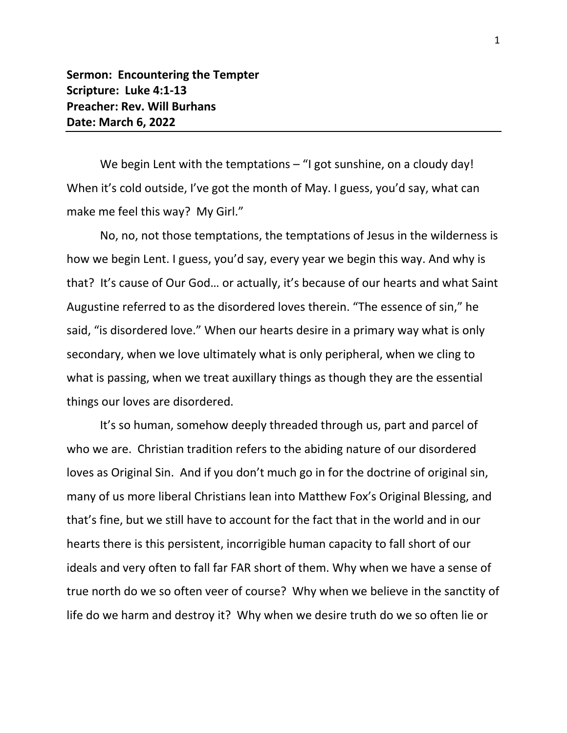**Sermon: Encountering the Tempter Scripture: Luke 4:1-13 Preacher: Rev. Will Burhans Date: March 6, 2022**

We begin Lent with the temptations - "I got sunshine, on a cloudy day! When it's cold outside, I've got the month of May. I guess, you'd say, what can make me feel this way? My Girl."

No, no, not those temptations, the temptations of Jesus in the wilderness is how we begin Lent. I guess, you'd say, every year we begin this way. And why is that? It's cause of Our God… or actually, it's because of our hearts and what Saint Augustine referred to as the disordered loves therein. "The essence of sin," he said, "is disordered love." When our hearts desire in a primary way what is only secondary, when we love ultimately what is only peripheral, when we cling to what is passing, when we treat auxillary things as though they are the essential things our loves are disordered.

It's so human, somehow deeply threaded through us, part and parcel of who we are. Christian tradition refers to the abiding nature of our disordered loves as Original Sin. And if you don't much go in for the doctrine of original sin, many of us more liberal Christians lean into Matthew Fox's Original Blessing, and that's fine, but we still have to account for the fact that in the world and in our hearts there is this persistent, incorrigible human capacity to fall short of our ideals and very often to fall far FAR short of them. Why when we have a sense of true north do we so often veer of course? Why when we believe in the sanctity of life do we harm and destroy it? Why when we desire truth do we so often lie or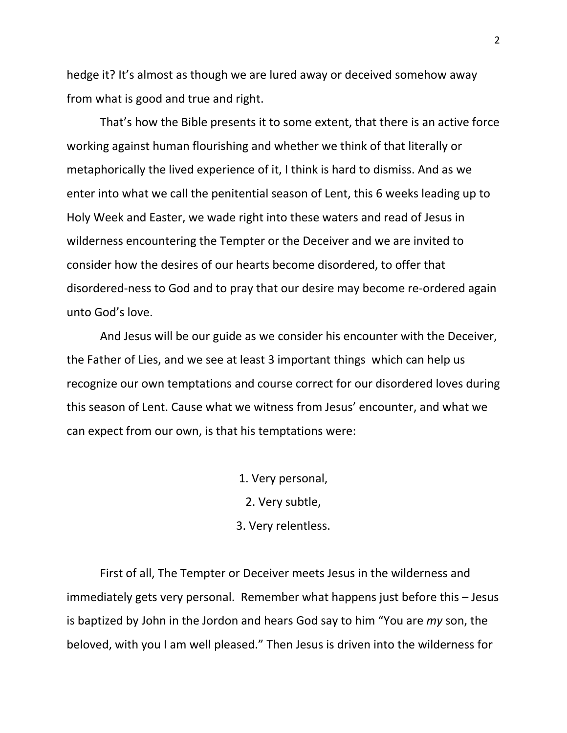hedge it? It's almost as though we are lured away or deceived somehow away from what is good and true and right.

That's how the Bible presents it to some extent, that there is an active force working against human flourishing and whether we think of that literally or metaphorically the lived experience of it, I think is hard to dismiss. And as we enter into what we call the penitential season of Lent, this 6 weeks leading up to Holy Week and Easter, we wade right into these waters and read of Jesus in wilderness encountering the Tempter or the Deceiver and we are invited to consider how the desires of our hearts become disordered, to offer that disordered-ness to God and to pray that our desire may become re-ordered again unto God's love.

And Jesus will be our guide as we consider his encounter with the Deceiver, the Father of Lies, and we see at least 3 important things which can help us recognize our own temptations and course correct for our disordered loves during this season of Lent. Cause what we witness from Jesus' encounter, and what we can expect from our own, is that his temptations were:

1. Very personal,

2. Very subtle,

3. Very relentless.

First of all, The Tempter or Deceiver meets Jesus in the wilderness and immediately gets very personal. Remember what happens just before this – Jesus is baptized by John in the Jordon and hears God say to him "You are *my* son, the beloved, with you I am well pleased." Then Jesus is driven into the wilderness for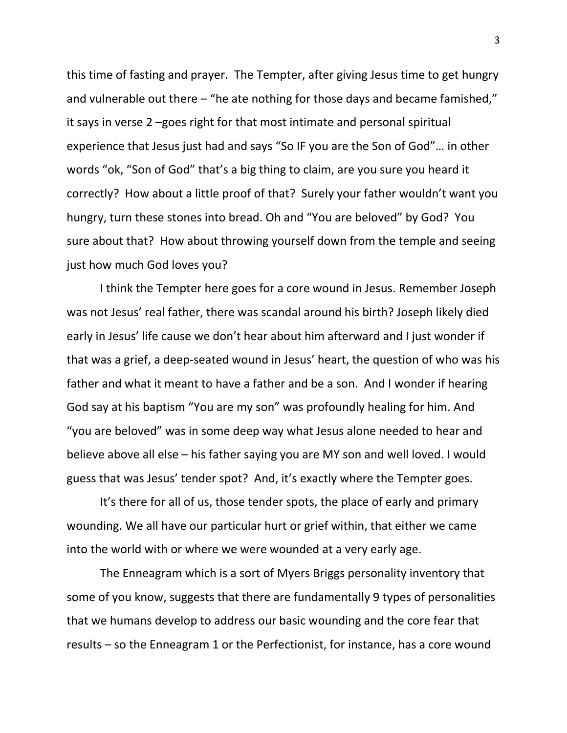this time of fasting and prayer. The Tempter, after giving Jesus time to get hungry and vulnerable out there – "he ate nothing for those days and became famished," it says in verse 2 –goes right for that most intimate and personal spiritual experience that Jesus just had and says "So IF you are the Son of God"… in other words "ok, "Son of God" that's a big thing to claim, are you sure you heard it correctly? How about a little proof of that? Surely your father wouldn't want you hungry, turn these stones into bread. Oh and "You are beloved" by God? You sure about that? How about throwing yourself down from the temple and seeing just how much God loves you?

I think the Tempter here goes for a core wound in Jesus. Remember Joseph was not Jesus' real father, there was scandal around his birth? Joseph likely died early in Jesus' life cause we don't hear about him afterward and I just wonder if that was a grief, a deep-seated wound in Jesus' heart, the question of who was his father and what it meant to have a father and be a son. And I wonder if hearing God say at his baptism "You are my son" was profoundly healing for him. And "you are beloved" was in some deep way what Jesus alone needed to hear and believe above all else – his father saying you are MY son and well loved. I would guess that was Jesus' tender spot? And, it's exactly where the Tempter goes.

It's there for all of us, those tender spots, the place of early and primary wounding. We all have our particular hurt or grief within, that either we came into the world with or where we were wounded at a very early age.

The Enneagram which is a sort of Myers Briggs personality inventory that some of you know, suggests that there are fundamentally 9 types of personalities that we humans develop to address our basic wounding and the core fear that results – so the Enneagram 1 or the Perfectionist, for instance, has a core wound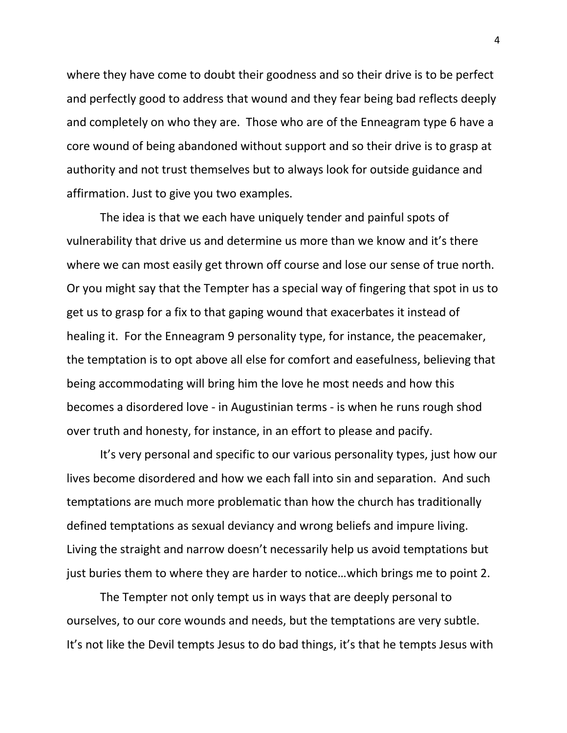where they have come to doubt their goodness and so their drive is to be perfect and perfectly good to address that wound and they fear being bad reflects deeply and completely on who they are. Those who are of the Enneagram type 6 have a core wound of being abandoned without support and so their drive is to grasp at authority and not trust themselves but to always look for outside guidance and affirmation. Just to give you two examples.

The idea is that we each have uniquely tender and painful spots of vulnerability that drive us and determine us more than we know and it's there where we can most easily get thrown off course and lose our sense of true north. Or you might say that the Tempter has a special way of fingering that spot in us to get us to grasp for a fix to that gaping wound that exacerbates it instead of healing it. For the Enneagram 9 personality type, for instance, the peacemaker, the temptation is to opt above all else for comfort and easefulness, believing that being accommodating will bring him the love he most needs and how this becomes a disordered love - in Augustinian terms - is when he runs rough shod over truth and honesty, for instance, in an effort to please and pacify.

It's very personal and specific to our various personality types, just how our lives become disordered and how we each fall into sin and separation. And such temptations are much more problematic than how the church has traditionally defined temptations as sexual deviancy and wrong beliefs and impure living. Living the straight and narrow doesn't necessarily help us avoid temptations but just buries them to where they are harder to notice…which brings me to point 2.

The Tempter not only tempt us in ways that are deeply personal to ourselves, to our core wounds and needs, but the temptations are very subtle. It's not like the Devil tempts Jesus to do bad things, it's that he tempts Jesus with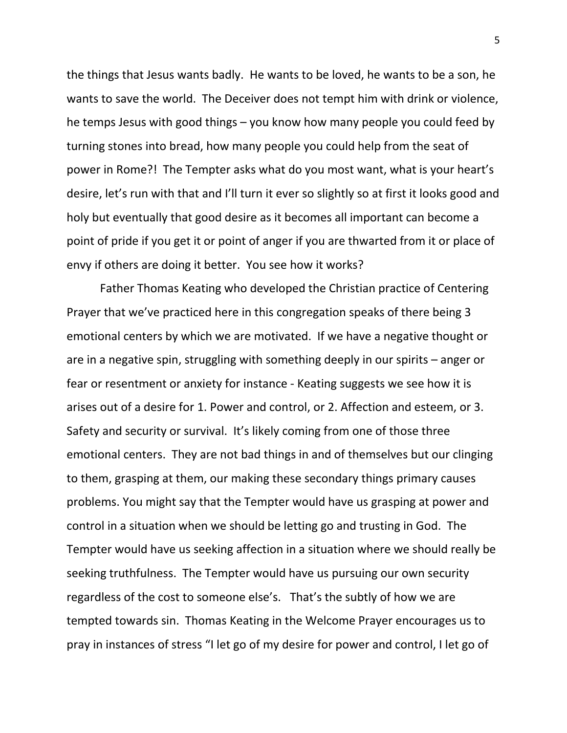the things that Jesus wants badly. He wants to be loved, he wants to be a son, he wants to save the world. The Deceiver does not tempt him with drink or violence, he temps Jesus with good things – you know how many people you could feed by turning stones into bread, how many people you could help from the seat of power in Rome?! The Tempter asks what do you most want, what is your heart's desire, let's run with that and I'll turn it ever so slightly so at first it looks good and holy but eventually that good desire as it becomes all important can become a point of pride if you get it or point of anger if you are thwarted from it or place of envy if others are doing it better. You see how it works?

Father Thomas Keating who developed the Christian practice of Centering Prayer that we've practiced here in this congregation speaks of there being 3 emotional centers by which we are motivated. If we have a negative thought or are in a negative spin, struggling with something deeply in our spirits – anger or fear or resentment or anxiety for instance - Keating suggests we see how it is arises out of a desire for 1. Power and control, or 2. Affection and esteem, or 3. Safety and security or survival. It's likely coming from one of those three emotional centers. They are not bad things in and of themselves but our clinging to them, grasping at them, our making these secondary things primary causes problems. You might say that the Tempter would have us grasping at power and control in a situation when we should be letting go and trusting in God. The Tempter would have us seeking affection in a situation where we should really be seeking truthfulness. The Tempter would have us pursuing our own security regardless of the cost to someone else's. That's the subtly of how we are tempted towards sin. Thomas Keating in the Welcome Prayer encourages us to pray in instances of stress "I let go of my desire for power and control, I let go of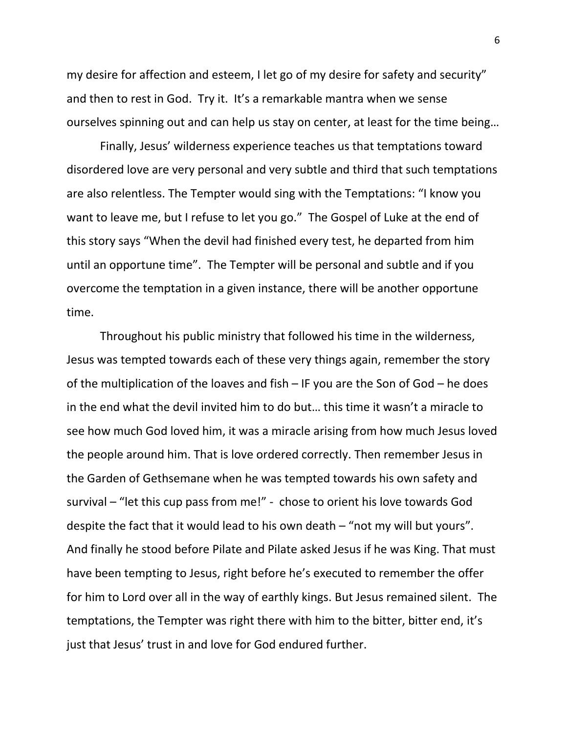my desire for affection and esteem, I let go of my desire for safety and security" and then to rest in God. Try it. It's a remarkable mantra when we sense ourselves spinning out and can help us stay on center, at least for the time being…

Finally, Jesus' wilderness experience teaches us that temptations toward disordered love are very personal and very subtle and third that such temptations are also relentless. The Tempter would sing with the Temptations: "I know you want to leave me, but I refuse to let you go." The Gospel of Luke at the end of this story says "When the devil had finished every test, he departed from him until an opportune time". The Tempter will be personal and subtle and if you overcome the temptation in a given instance, there will be another opportune time.

Throughout his public ministry that followed his time in the wilderness, Jesus was tempted towards each of these very things again, remember the story of the multiplication of the loaves and fish – IF you are the Son of God – he does in the end what the devil invited him to do but… this time it wasn't a miracle to see how much God loved him, it was a miracle arising from how much Jesus loved the people around him. That is love ordered correctly. Then remember Jesus in the Garden of Gethsemane when he was tempted towards his own safety and survival – "let this cup pass from me!" - chose to orient his love towards God despite the fact that it would lead to his own death – "not my will but yours". And finally he stood before Pilate and Pilate asked Jesus if he was King. That must have been tempting to Jesus, right before he's executed to remember the offer for him to Lord over all in the way of earthly kings. But Jesus remained silent. The temptations, the Tempter was right there with him to the bitter, bitter end, it's just that Jesus' trust in and love for God endured further.